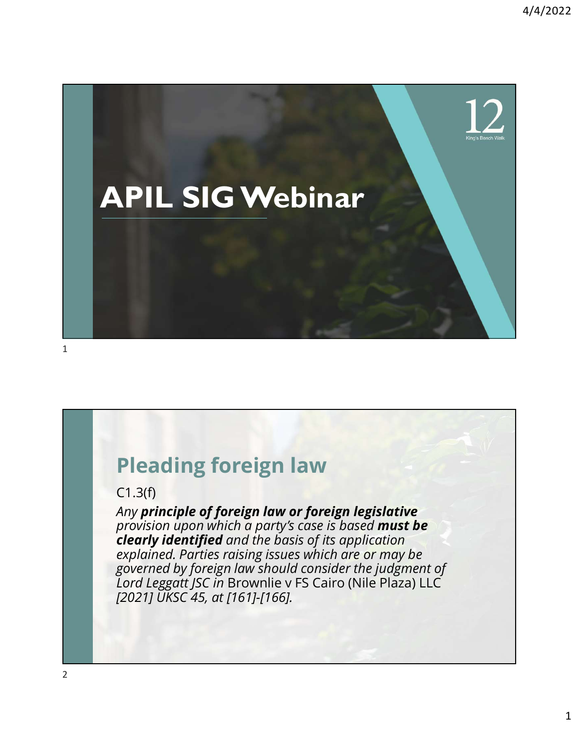

#### Pleading foreign law

#### C1.3(f)

Any principle of foreign law or foreign legislative provision upon which a party's case is based must be clearly identified and the basis of its application explained. Parties raising issues which are or may be governed by foreign law should consider the judgment of<br>Lord Leggatt JSC in Brownlie v FS Cairo (Nile Plaza) LLC **Pleading foreign law**<br>
C1.3(f)<br>
C1.3(f)<br>
C1.3(f)<br>
provision upon which a party's case is based must be<br>
provision upon which a party's case is based must be<br> **clearly identified** and the basis of its application<br>
explaine [2021] UKSC 45, at [161]-[166].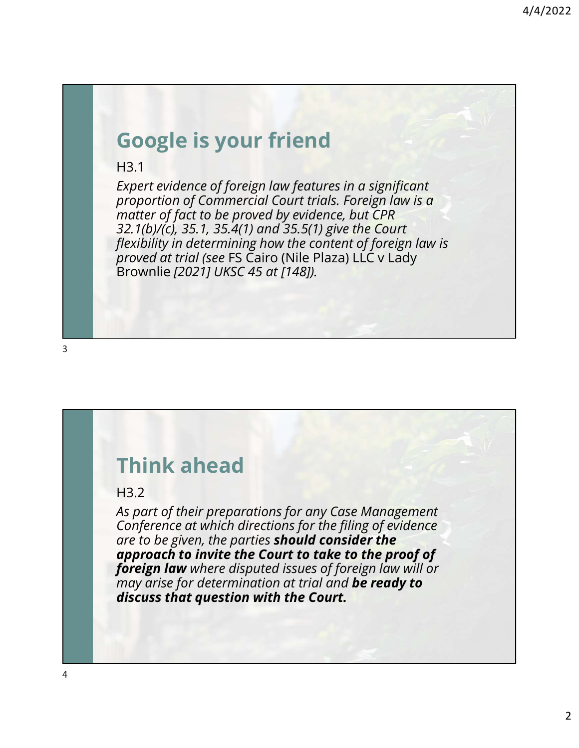# Google is your friend

H3.1

Expert evidence of foreign law features in a significant proportion of Commercial Court trials. Foreign law is a matter of fact to be proved by evidence, but CPR 32.1(b)/(c), 35.1, 35.4(1) and 35.5(1) give the Court flexibility in determining how the content of foreign law is proved at trial (see FS Cairo (Nile Plaza) LLC v Lady Brownlie [2021] UKSC 45 at [148]).

# Think ahead

#### H3.2

As part of their preparations for any Case Management Conference at which directions for the filing of evidence are to be given, the parties should consider the approach to invite the Court to take to the proof of foreign law where disputed issues of foreign law will or may arise for determination at trial and be ready to discuss that question with the Court.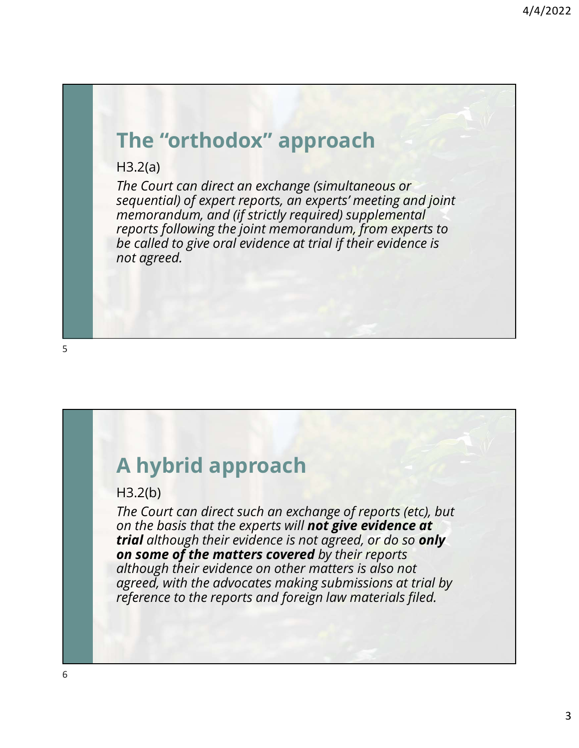# The "orthodox" approach

H3.2(a)

The Court can direct an exchange (simultaneous or sequential) of expert reports, an experts' meeting and joint memorandum, and (if strictly required) supplemental reports following the joint memorandum, from experts to be called to give oral evidence at trial if their evidence is not agreed.

# A hybrid approach

#### H3.2(b)

The Court can direct such an exchange of reports (etc), but on the basis that the experts will not give evidence at trial although their evidence is not agreed, or do so only on some of the matters covered by their reports although their evidence on other matters is also not agreed, with the advocates making submissions at trial by reference to the reports and foreign law materials filed.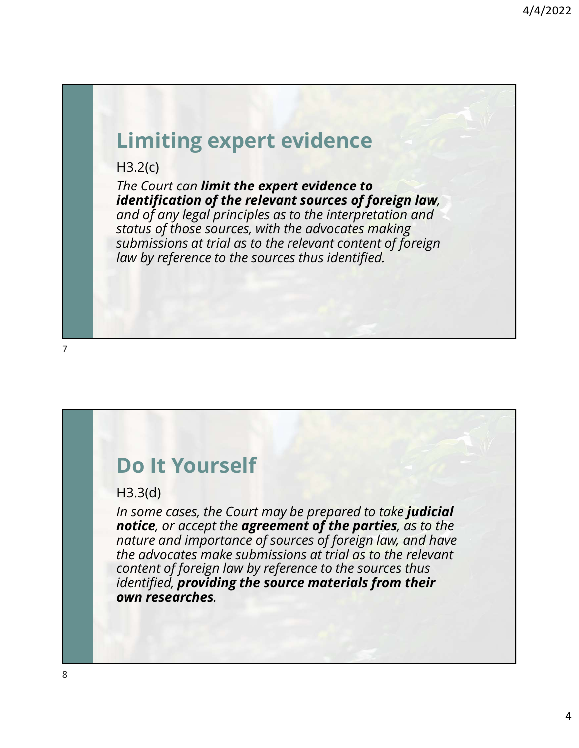### Limiting expert evidence

H3.2(c)

The Court can **limit the expert evidence to**<br>**identification of the relevant sources of foreign law**, and of any legal principles as to the interpretation and status of those sources, with the advocates making submissions at trial as to the relevant content of foreign law by reference to the sources thus identified.

#### Do It Yourself

H3.3(d)

In some cases, the Court may be prepared to take judicial notice, or accept the agreement of the parties, as to the nature and importance of sources of foreign law, and have the advocates make submissions at trial as to the relevant content of foreign law by reference to the sources thus identified, providing the source materials from their own researches.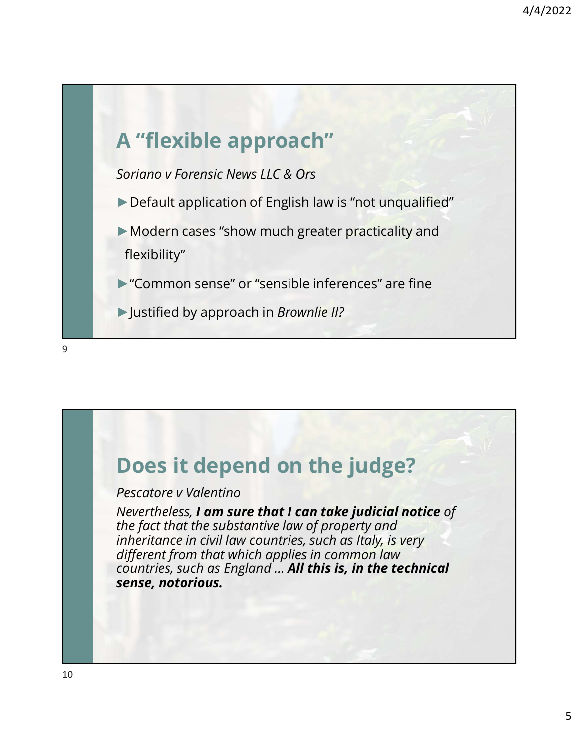

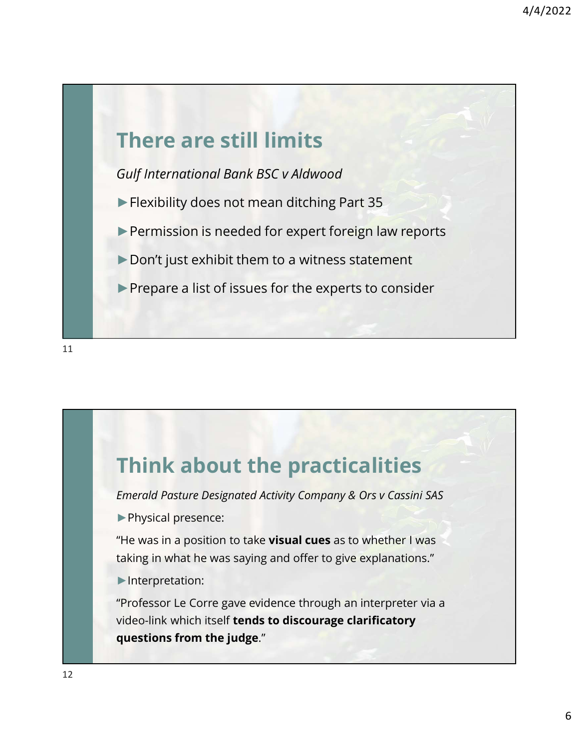





►Physical presence:

"He was in a position to take visual cues as to whether I was taking in what he was saying and offer to give explanations."

►Interpretation:

Think about the practicalities<br> *Emerold Pasture Designated Activity Company & Ors v Cassini SAS*<br>
▶ Physical presence:<br>
"He was in a position to take visual cues as to whether I was<br>
★ Interpretation:<br>
★ Interpretation:<br> video-link which itself tends to discourage clarificatory questions from the judge."